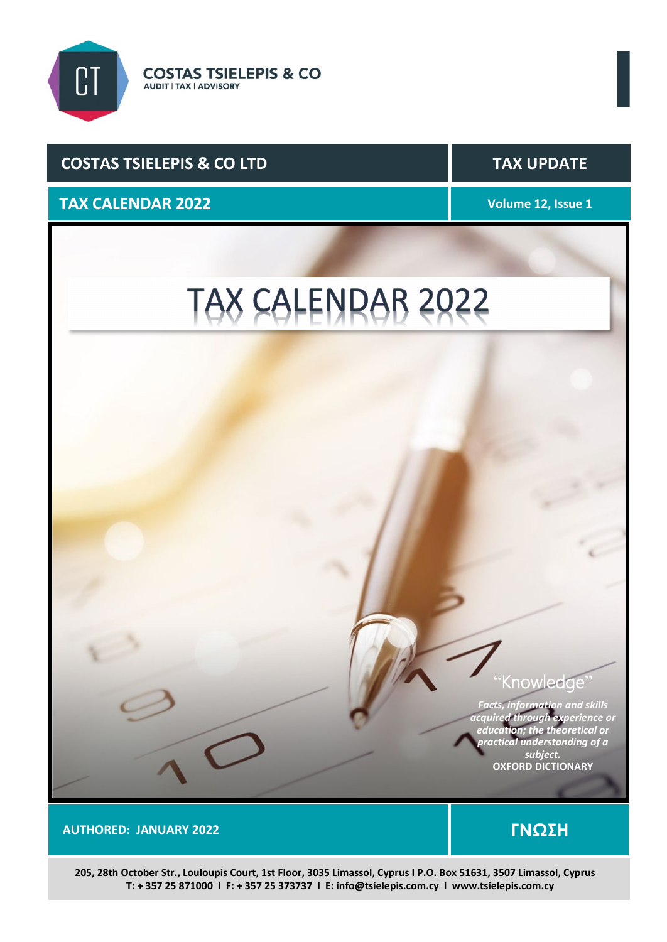

# **COSTAS TSIELEPIS & CO LTD** TAX UPDATE

# **TAX CALENDAR 2022 Volume 12, Issue 1**

# TAX CALENDAR 2022

# Knowledge'

*Facts, information and skills acquired through experience or education; the theoretical or practical understanding of a subject.* **OXFORD DICTIONARY**

 **AUTHORED: JANUARY 2022 ΓΝΩΣΗ** 

 **205, 28th October Str., Louloupis Court, 1st Floor, 3035 Limassol, Cyprus I P.O. Box 51631, 3507 Limassol, Cyprus T: + 357 25 871000 I F: + 357 25 373737 I E: info@tsielepis.com.cy I www.tsielepis.com.cy**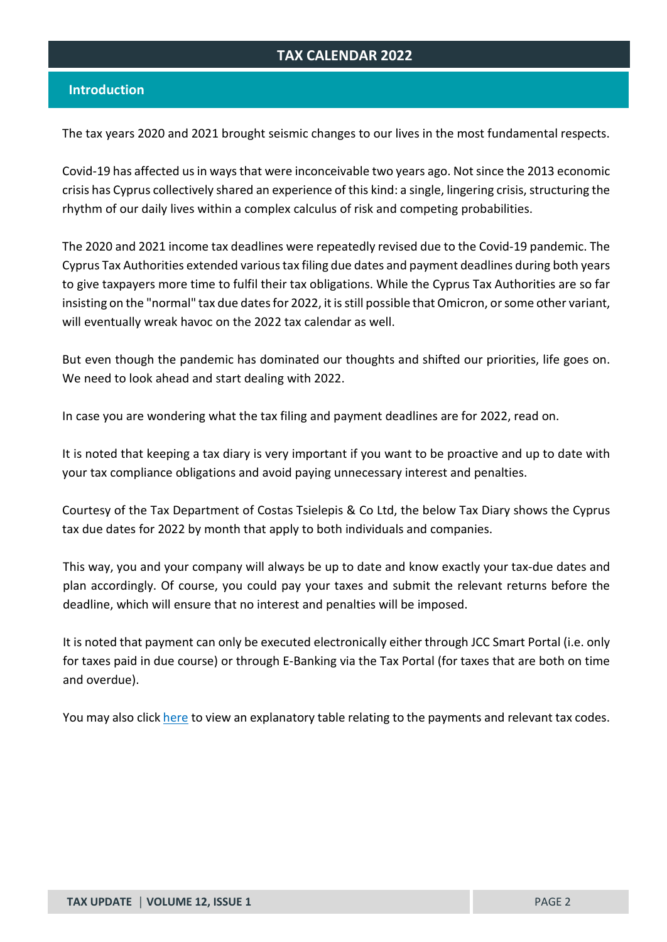## **TAX CALENDAR 2022**

### **Introduction**

The tax years 2020 and 2021 brought seismic changes to our lives in the most fundamental respects.

Covid-19 has affected usin ways that were inconceivable two years ago. Not since the 2013 economic crisis has Cyprus collectively shared an experience of this kind: a single, lingering crisis, structuring the rhythm of our daily lives within a complex calculus of risk and competing probabilities.

The 2020 and 2021 income tax deadlines were repeatedly revised due to the Covid-19 pandemic. The Cyprus Tax Authorities extended various tax filing due dates and payment deadlines during both years to give taxpayers more time to fulfil their tax obligations. While the Cyprus Tax Authorities are so far insisting on the "normal" tax due dates for 2022, it is still possible that Omicron, or some other variant, will eventually wreak havoc on the 2022 tax calendar as well.

But even though the pandemic has dominated our thoughts and shifted our priorities, life goes on. We need to look ahead and start dealing with 2022.

In case you are wondering what the tax filing and payment deadlines are for 2022, read on.

It is noted that keeping a tax diary is very important if you want to be proactive and up to date with your tax compliance obligations and avoid paying unnecessary interest and penalties.

Courtesy of the Tax Department of Costas Tsielepis & Co Ltd, the below Tax Diary shows the Cyprus tax due dates for 2022 by month that apply to both individuals and companies.

This way, you and your company will always be up to date and know exactly your tax-due dates and plan accordingly. Of course, you could pay your taxes and submit the relevant returns before the deadline, which will ensure that no interest and penalties will be imposed.

It is noted that payment can only be executed electronically either through JCC Smart Portal (i.e. only for taxes paid in due course) or through E-Banking via the Tax Portal (for taxes that are both on time and overdue).

You may also [click here](https://www.mof.gov.cy/mof/tax/taxdep.nsf/all/BFE267F786F52044C22582FD003BF0A7/$file/Payment%20Explanations.pdf?openelement) to view an explanatory table relating to the payments and relevant tax codes.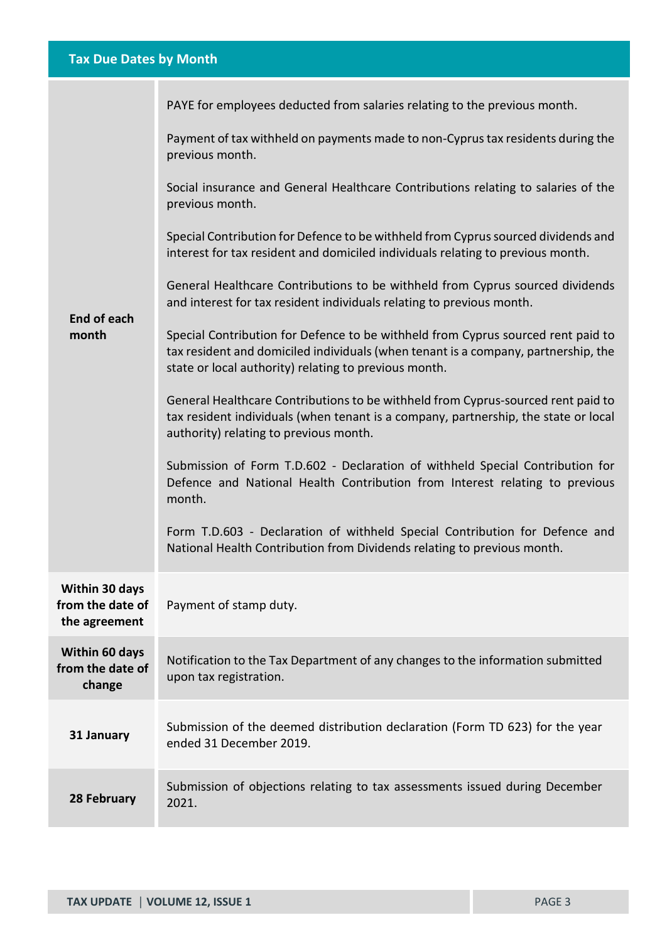# **Tax Due Dates by Month**

| Payment of tax withheld on payments made to non-Cyprus tax residents during the<br>previous month.<br>Social insurance and General Healthcare Contributions relating to salaries of the<br>previous month.<br>Special Contribution for Defence to be withheld from Cyprus sourced dividends and<br>interest for tax resident and domiciled individuals relating to previous month.<br>General Healthcare Contributions to be withheld from Cyprus sourced dividends<br>and interest for tax resident individuals relating to previous month.<br><b>End of each</b><br>Special Contribution for Defence to be withheld from Cyprus sourced rent paid to<br>month<br>tax resident and domiciled individuals (when tenant is a company, partnership, the<br>state or local authority) relating to previous month.<br>General Healthcare Contributions to be withheld from Cyprus-sourced rent paid to<br>tax resident individuals (when tenant is a company, partnership, the state or local<br>authority) relating to previous month.<br>Submission of Form T.D.602 - Declaration of withheld Special Contribution for<br>Defence and National Health Contribution from Interest relating to previous<br>month.<br>Form T.D.603 - Declaration of withheld Special Contribution for Defence and<br>National Health Contribution from Dividends relating to previous month.<br>Within 30 days<br>from the date of<br>Payment of stamp duty.<br>the agreement<br>Within 60 days<br>Notification to the Tax Department of any changes to the information submitted<br>from the date of<br>upon tax registration.<br>change<br>Submission of the deemed distribution declaration (Form TD 623) for the year<br>31 January<br>ended 31 December 2019.<br>Submission of objections relating to tax assessments issued during December<br>28 February<br>2021. | PAYE for employees deducted from salaries relating to the previous month. |
|------------------------------------------------------------------------------------------------------------------------------------------------------------------------------------------------------------------------------------------------------------------------------------------------------------------------------------------------------------------------------------------------------------------------------------------------------------------------------------------------------------------------------------------------------------------------------------------------------------------------------------------------------------------------------------------------------------------------------------------------------------------------------------------------------------------------------------------------------------------------------------------------------------------------------------------------------------------------------------------------------------------------------------------------------------------------------------------------------------------------------------------------------------------------------------------------------------------------------------------------------------------------------------------------------------------------------------------------------------------------------------------------------------------------------------------------------------------------------------------------------------------------------------------------------------------------------------------------------------------------------------------------------------------------------------------------------------------------------------------------------------------------------------------------------------------------------------------------------|---------------------------------------------------------------------------|
|                                                                                                                                                                                                                                                                                                                                                                                                                                                                                                                                                                                                                                                                                                                                                                                                                                                                                                                                                                                                                                                                                                                                                                                                                                                                                                                                                                                                                                                                                                                                                                                                                                                                                                                                                                                                                                                      |                                                                           |
|                                                                                                                                                                                                                                                                                                                                                                                                                                                                                                                                                                                                                                                                                                                                                                                                                                                                                                                                                                                                                                                                                                                                                                                                                                                                                                                                                                                                                                                                                                                                                                                                                                                                                                                                                                                                                                                      |                                                                           |
|                                                                                                                                                                                                                                                                                                                                                                                                                                                                                                                                                                                                                                                                                                                                                                                                                                                                                                                                                                                                                                                                                                                                                                                                                                                                                                                                                                                                                                                                                                                                                                                                                                                                                                                                                                                                                                                      |                                                                           |
|                                                                                                                                                                                                                                                                                                                                                                                                                                                                                                                                                                                                                                                                                                                                                                                                                                                                                                                                                                                                                                                                                                                                                                                                                                                                                                                                                                                                                                                                                                                                                                                                                                                                                                                                                                                                                                                      |                                                                           |
|                                                                                                                                                                                                                                                                                                                                                                                                                                                                                                                                                                                                                                                                                                                                                                                                                                                                                                                                                                                                                                                                                                                                                                                                                                                                                                                                                                                                                                                                                                                                                                                                                                                                                                                                                                                                                                                      |                                                                           |
|                                                                                                                                                                                                                                                                                                                                                                                                                                                                                                                                                                                                                                                                                                                                                                                                                                                                                                                                                                                                                                                                                                                                                                                                                                                                                                                                                                                                                                                                                                                                                                                                                                                                                                                                                                                                                                                      |                                                                           |
|                                                                                                                                                                                                                                                                                                                                                                                                                                                                                                                                                                                                                                                                                                                                                                                                                                                                                                                                                                                                                                                                                                                                                                                                                                                                                                                                                                                                                                                                                                                                                                                                                                                                                                                                                                                                                                                      |                                                                           |
|                                                                                                                                                                                                                                                                                                                                                                                                                                                                                                                                                                                                                                                                                                                                                                                                                                                                                                                                                                                                                                                                                                                                                                                                                                                                                                                                                                                                                                                                                                                                                                                                                                                                                                                                                                                                                                                      |                                                                           |
|                                                                                                                                                                                                                                                                                                                                                                                                                                                                                                                                                                                                                                                                                                                                                                                                                                                                                                                                                                                                                                                                                                                                                                                                                                                                                                                                                                                                                                                                                                                                                                                                                                                                                                                                                                                                                                                      |                                                                           |
|                                                                                                                                                                                                                                                                                                                                                                                                                                                                                                                                                                                                                                                                                                                                                                                                                                                                                                                                                                                                                                                                                                                                                                                                                                                                                                                                                                                                                                                                                                                                                                                                                                                                                                                                                                                                                                                      |                                                                           |
|                                                                                                                                                                                                                                                                                                                                                                                                                                                                                                                                                                                                                                                                                                                                                                                                                                                                                                                                                                                                                                                                                                                                                                                                                                                                                                                                                                                                                                                                                                                                                                                                                                                                                                                                                                                                                                                      |                                                                           |
|                                                                                                                                                                                                                                                                                                                                                                                                                                                                                                                                                                                                                                                                                                                                                                                                                                                                                                                                                                                                                                                                                                                                                                                                                                                                                                                                                                                                                                                                                                                                                                                                                                                                                                                                                                                                                                                      |                                                                           |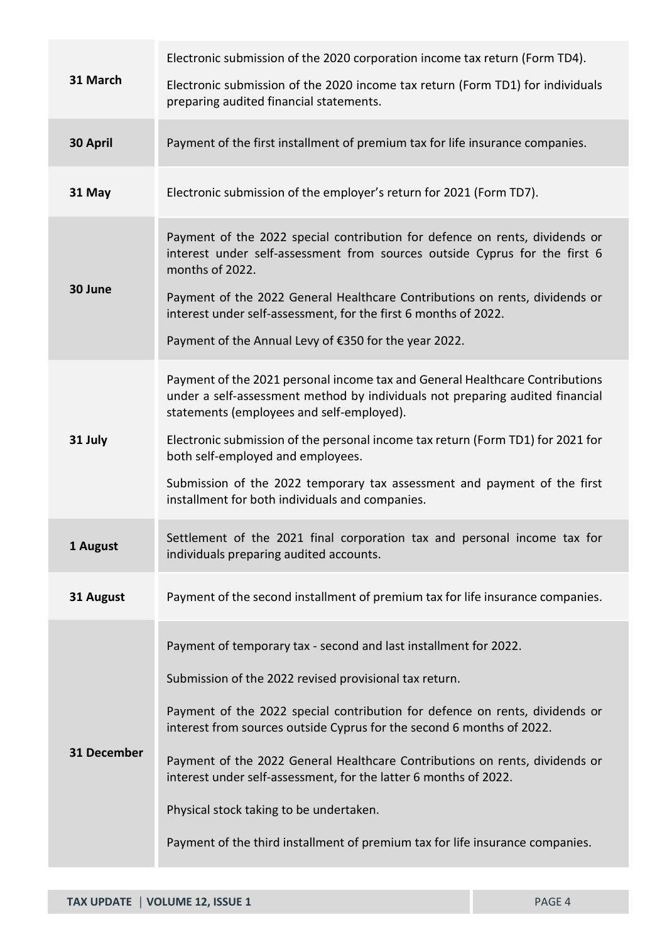|             | Electronic submission of the 2020 corporation income tax return (Form TD4).                                                                                                                                                                                                                                                                                                                                                                                                                                                                                       |
|-------------|-------------------------------------------------------------------------------------------------------------------------------------------------------------------------------------------------------------------------------------------------------------------------------------------------------------------------------------------------------------------------------------------------------------------------------------------------------------------------------------------------------------------------------------------------------------------|
| 31 March    | Electronic submission of the 2020 income tax return (Form TD1) for individuals<br>preparing audited financial statements.                                                                                                                                                                                                                                                                                                                                                                                                                                         |
| 30 April    | Payment of the first installment of premium tax for life insurance companies.                                                                                                                                                                                                                                                                                                                                                                                                                                                                                     |
| 31 May      | Electronic submission of the employer's return for 2021 (Form TD7).                                                                                                                                                                                                                                                                                                                                                                                                                                                                                               |
| 30 June     | Payment of the 2022 special contribution for defence on rents, dividends or<br>interest under self-assessment from sources outside Cyprus for the first 6<br>months of 2022.<br>Payment of the 2022 General Healthcare Contributions on rents, dividends or<br>interest under self-assessment, for the first 6 months of 2022.<br>Payment of the Annual Levy of €350 for the year 2022.                                                                                                                                                                           |
| 31 July     | Payment of the 2021 personal income tax and General Healthcare Contributions<br>under a self-assessment method by individuals not preparing audited financial<br>statements (employees and self-employed).<br>Electronic submission of the personal income tax return (Form TD1) for 2021 for<br>both self-employed and employees.<br>Submission of the 2022 temporary tax assessment and payment of the first<br>installment for both individuals and companies.                                                                                                 |
| 1 August    | Settlement of the 2021 final corporation tax and personal income tax for<br>individuals preparing audited accounts.                                                                                                                                                                                                                                                                                                                                                                                                                                               |
| 31 August   | Payment of the second installment of premium tax for life insurance companies.                                                                                                                                                                                                                                                                                                                                                                                                                                                                                    |
| 31 December | Payment of temporary tax - second and last installment for 2022.<br>Submission of the 2022 revised provisional tax return.<br>Payment of the 2022 special contribution for defence on rents, dividends or<br>interest from sources outside Cyprus for the second 6 months of 2022.<br>Payment of the 2022 General Healthcare Contributions on rents, dividends or<br>interest under self-assessment, for the latter 6 months of 2022.<br>Physical stock taking to be undertaken.<br>Payment of the third installment of premium tax for life insurance companies. |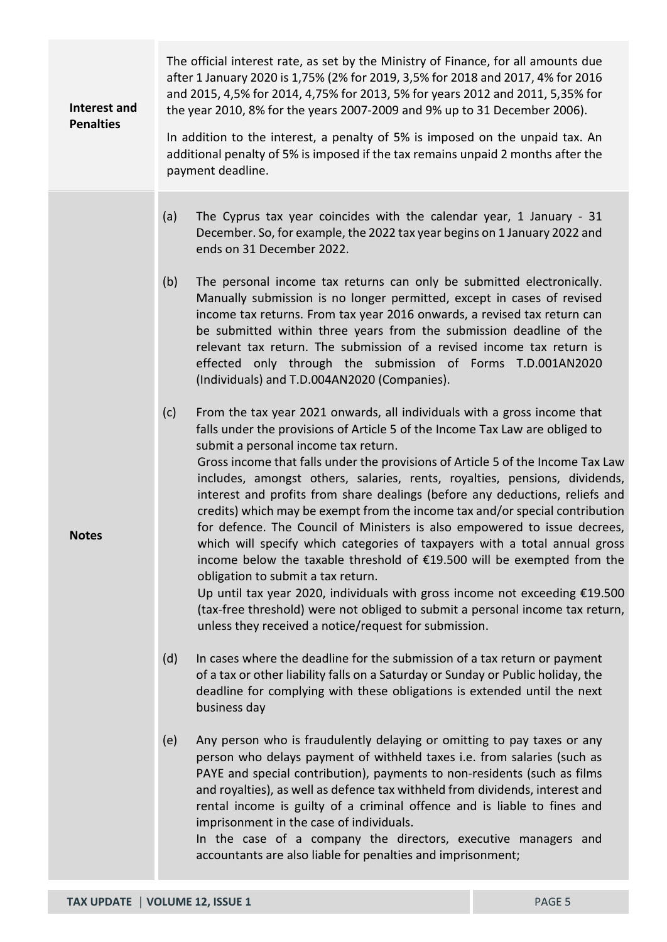| Interest and<br><b>Penalties</b> | The official interest rate, as set by the Ministry of Finance, for all amounts due<br>after 1 January 2020 is 1,75% (2% for 2019, 3,5% for 2018 and 2017, 4% for 2016<br>and 2015, 4,5% for 2014, 4,75% for 2013, 5% for years 2012 and 2011, 5,35% for<br>the year 2010, 8% for the years 2007-2009 and 9% up to 31 December 2006).<br>In addition to the interest, a penalty of 5% is imposed on the unpaid tax. An<br>additional penalty of 5% is imposed if the tax remains unpaid 2 months after the<br>payment deadline.                                                                                                                                                                                                                                                                                                                                                                                                                                                                                                                                                                                                                                                                                                                                                                                                                                                                                                                                                                                                                                                                                                                                                                                                                                                                                                                                                                                                                                                                                                                                                                    |  |
|----------------------------------|---------------------------------------------------------------------------------------------------------------------------------------------------------------------------------------------------------------------------------------------------------------------------------------------------------------------------------------------------------------------------------------------------------------------------------------------------------------------------------------------------------------------------------------------------------------------------------------------------------------------------------------------------------------------------------------------------------------------------------------------------------------------------------------------------------------------------------------------------------------------------------------------------------------------------------------------------------------------------------------------------------------------------------------------------------------------------------------------------------------------------------------------------------------------------------------------------------------------------------------------------------------------------------------------------------------------------------------------------------------------------------------------------------------------------------------------------------------------------------------------------------------------------------------------------------------------------------------------------------------------------------------------------------------------------------------------------------------------------------------------------------------------------------------------------------------------------------------------------------------------------------------------------------------------------------------------------------------------------------------------------------------------------------------------------------------------------------------------------|--|
| <b>Notes</b>                     | (a)<br>The Cyprus tax year coincides with the calendar year, 1 January - 31<br>December. So, for example, the 2022 tax year begins on 1 January 2022 and<br>ends on 31 December 2022.<br>The personal income tax returns can only be submitted electronically.<br>(b)<br>Manually submission is no longer permitted, except in cases of revised<br>income tax returns. From tax year 2016 onwards, a revised tax return can<br>be submitted within three years from the submission deadline of the<br>relevant tax return. The submission of a revised income tax return is<br>effected only through the submission of Forms T.D.001AN2020<br>(Individuals) and T.D.004AN2020 (Companies).<br>(c)<br>From the tax year 2021 onwards, all individuals with a gross income that<br>falls under the provisions of Article 5 of the Income Tax Law are obliged to<br>submit a personal income tax return.<br>Gross income that falls under the provisions of Article 5 of the Income Tax Law<br>includes, amongst others, salaries, rents, royalties, pensions, dividends,<br>interest and profits from share dealings (before any deductions, reliefs and<br>credits) which may be exempt from the income tax and/or special contribution<br>for defence. The Council of Ministers is also empowered to issue decrees,<br>which will specify which categories of taxpayers with a total annual gross<br>income below the taxable threshold of €19.500 will be exempted from the<br>obligation to submit a tax return.<br>Up until tax year 2020, individuals with gross income not exceeding €19.500<br>(tax-free threshold) were not obliged to submit a personal income tax return,<br>unless they received a notice/request for submission.<br>(d)<br>In cases where the deadline for the submission of a tax return or payment<br>of a tax or other liability falls on a Saturday or Sunday or Public holiday, the<br>deadline for complying with these obligations is extended until the next<br>business day<br>Any person who is fraudulently delaying or omitting to pay taxes or any<br>(e) |  |
|                                  | person who delays payment of withheld taxes i.e. from salaries (such as<br>PAYE and special contribution), payments to non-residents (such as films<br>and royalties), as well as defence tax withheld from dividends, interest and<br>rental income is guilty of a criminal offence and is liable to fines and<br>imprisonment in the case of individuals.<br>In the case of a company the directors, executive managers and<br>accountants are also liable for penalties and imprisonment;                                                                                                                                                                                                                                                                                                                                                                                                                                                                                                                                                                                                                                                                                                                                                                                                                                                                                                                                                                                                                                                                                                                                                                                                                                                                                                                                                                                                                                                                                                                                                                                                      |  |

a s ٠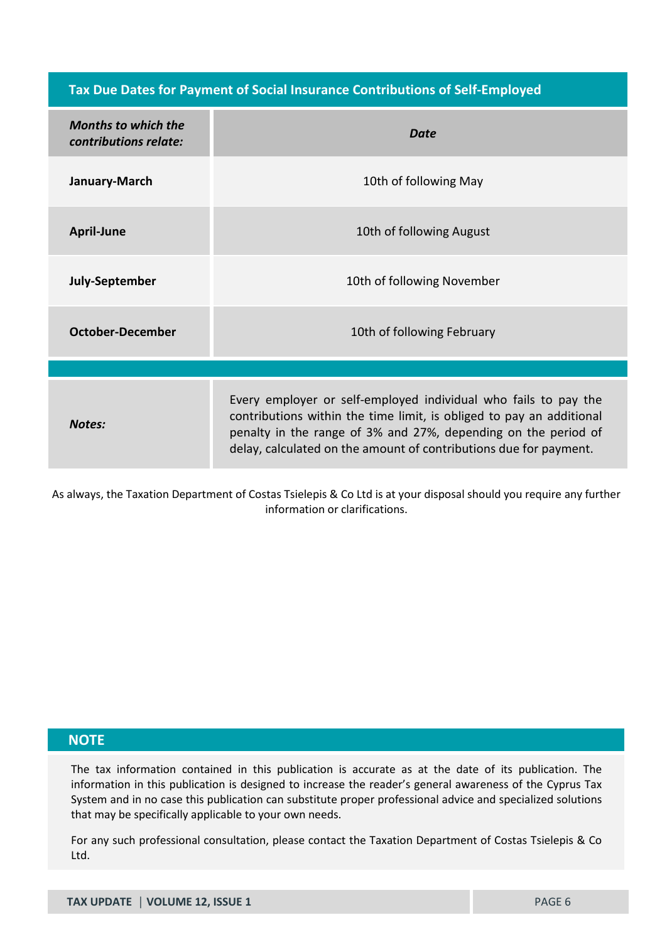**Tax Due Dates for Payment of Social Insurance Contributions of Self-Employed**

| <b>Months to which the</b><br>contributions relate: | <b>Date</b>                                                                                                                                                                                                                                                                    |
|-----------------------------------------------------|--------------------------------------------------------------------------------------------------------------------------------------------------------------------------------------------------------------------------------------------------------------------------------|
| January-March                                       | 10th of following May                                                                                                                                                                                                                                                          |
| <b>April-June</b>                                   | 10th of following August                                                                                                                                                                                                                                                       |
| July-September                                      | 10th of following November                                                                                                                                                                                                                                                     |
| <b>October-December</b>                             | 10th of following February                                                                                                                                                                                                                                                     |
|                                                     |                                                                                                                                                                                                                                                                                |
| <b>Notes:</b>                                       | Every employer or self-employed individual who fails to pay the<br>contributions within the time limit, is obliged to pay an additional<br>penalty in the range of 3% and 27%, depending on the period of<br>delay, calculated on the amount of contributions due for payment. |

As always, the Taxation Department of Costas Tsielepis & Co Ltd is at your disposal should you require any further information or clarifications.

#### **NOTE**

The tax information contained in this publication is accurate as at the date of its publication. The information in this publication is designed to increase the reader's general awareness of the Cyprus Tax System and in no case this publication can substitute proper professional advice and specialized solutions that may be specifically applicable to your own needs.

For any such professional consultation, please contact the Taxation Department of Costas Tsielepis & Co Ltd.